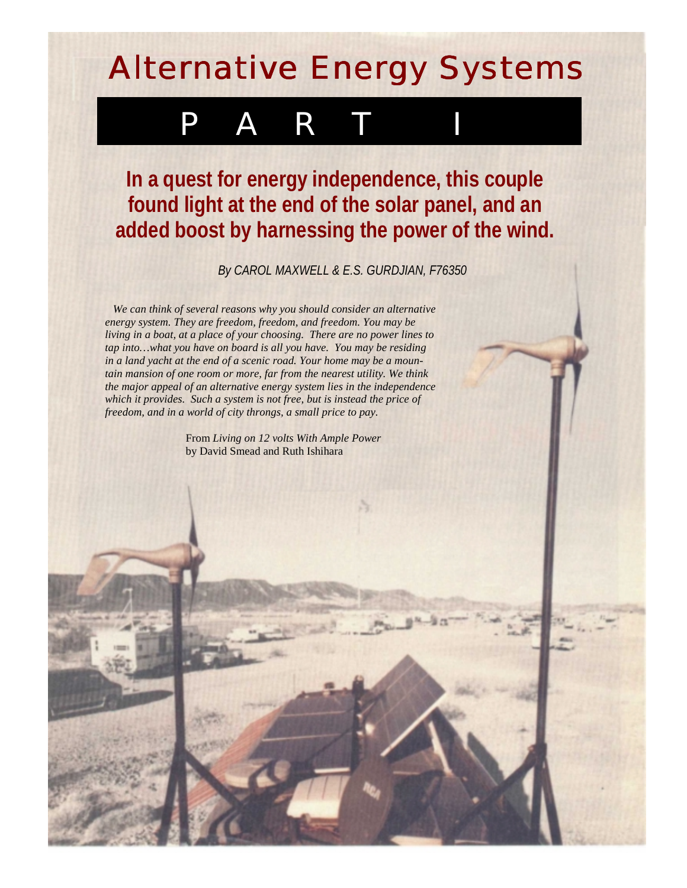## Alternative Energy Systems

## P A R T

**In a quest for energy independence, this couple found light at the end of the solar panel, and an added boost by harnessing the power of the wind.**

*By CAROL MAXWELL & E.S. GURDJIAN, F76350*

*We can think of several reasons why you should consider an alternative energy system. They are freedom, freedom, and freedom. You may be living in a boat, at a place of your choosing. There are no power lines to tap into…what you have on board is all you have. You may be residing in a land yacht at the end of a scenic road. Your home may be a mountain mansion of one room or more, far from the nearest utility. We think the major appeal of an alternative energy system lies in the independence which it provides. Such a system is not free, but is instead the price of freedom, and in a world of city throngs, a small price to pay.*

> From *Living on 12 volts With Ample Power* by David Smead and Ruth Ishihara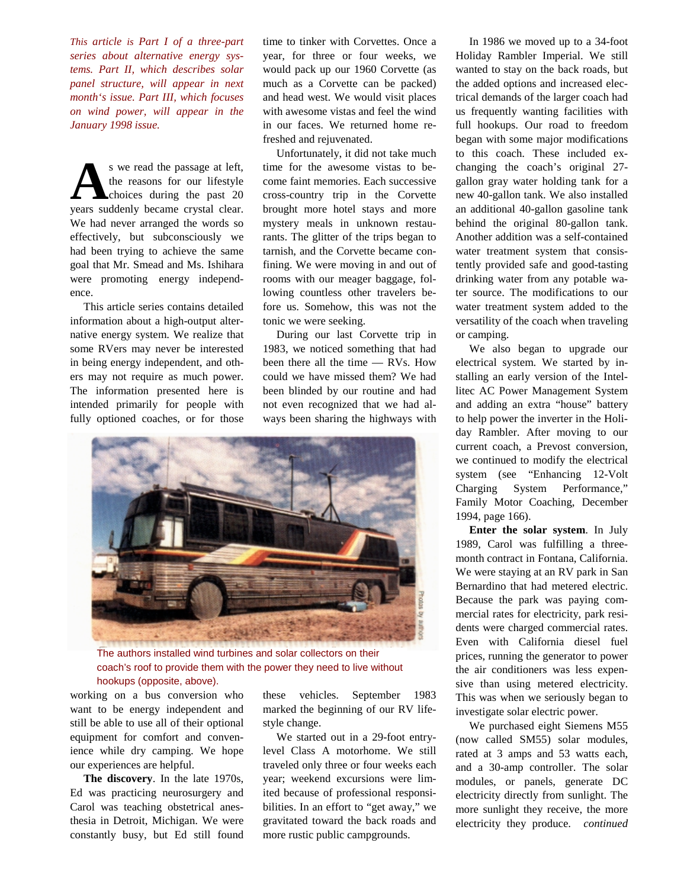*This article is Part I of a three-part series about alternative energy systems. Part II, which describes solar panel structure, will appear in next month's issue. Part III, which focuses on wind power, will appear in the January 1998 issue.*

s we read the passage at left, the reasons for our lifestyle choices during the past 20 s we read the passage at left,<br>the reasons for our lifestyle<br>choices during the past 20<br>years suddenly became crystal clear. We had never arranged the words so effectively, but subconsciously we had been trying to achieve the same goal that Mr. Smead and Ms. Ishihara were promoting—energy independence.

This article series contains detailed information about a high-output alternative energy system. We realize that some RVers may never be interested in being energy independent, and others may not require as much power. The information presented here is intended primarily for people with fully optioned coaches, or for those

time to tinker with Corvettes. Once a year, for three or four weeks, we would pack up our 1960 Corvette (as much as a Corvette can be packed) and head west. We would visit places with awesome vistas and feel the wind in our faces. We returned home refreshed and rejuvenated.

Unfortunately, it did not take much time for the awesome vistas to become faint memories. Each successive cross-country trip in the Corvette brought more hotel stays and more mystery meals in unknown restaurants. The glitter of the trips began to tarnish, and the Corvette became confining. We were moving in and out of rooms with our meager baggage, following countless other travelers before us. Somehow, this was not the tonic we were seeking.

During our last Corvette trip in 1983, we noticed something that had been there all the time — RVs. How could we have missed them? We had been blinded by our routine and had not even recognized that we had always been sharing the highways with



The authors installed wind turbines and solar collectors on their coach's roof to provide them with the power they need to live without hookups (opposite, above).

working on a bus conversion who want to be energy independent and still be able to use all of their optional equipment for comfort and convenience while dry camping. We hope our experiences are helpful.

**The discovery**. In the late 1970s, Ed was practicing neurosurgery and Carol was teaching obstetrical anesthesia in Detroit, Michigan. We were constantly busy, but Ed still found these vehicles. September 1983 marked the beginning of our RV lifestyle change.

We started out in a 29-foot entrylevel Class A motorhome. We still traveled only three or four weeks each year; weekend excursions were limited because of professional responsibilities. In an effort to "get away," we gravitated toward the back roads and more rustic public campgrounds.

In 1986 we moved up to a 34-foot Holiday Rambler Imperial. We still wanted to stay on the back roads, but the added options and increased electrical demands of the larger coach had us frequently wanting facilities with full hookups. Our road to freedom began with some major modifications to this coach. These included exchanging the coach's original 27 gallon gray water holding tank for a new 40-gallon tank. We also installed an additional 40-gallon gasoline tank behind the original 80-gallon tank. Another addition was a self-contained water treatment system that consistently provided safe and good-tasting drinking water from any potable water source. The modifications to our water treatment system added to the versatility of the coach when traveling or camping.

We also began to upgrade our electrical system. We started by installing an early version of the Intellitec AC Power Management System and adding an extra "house" battery to help power the inverter in the Holiday Rambler. After moving to our current coach, a Prevost conversion, we continued to modify the electrical system (see "Enhancing 12-Volt Charging System Performance," Family Motor Coaching, December 1994, page 166).

**Enter the solar system**. In July 1989, Carol was fulfilling a threemonth contract in Fontana, California. We were staying at an RV park in San Bernardino that had metered electric. Because the park was paying commercial rates for electricity, park residents were charged commercial rates. Even with California diesel fuel prices, running the generator to power the air conditioners was less expensive than using metered electricity. This was when we seriously began to investigate solar electric power.

We purchased eight Siemens M55 (now called SM55) solar modules, rated at 3 amps and 53 watts each, and a 30-amp controller. The solar modules, or panels, generate DC electricity directly from sunlight. The more sunlight they receive, the more electricity they produce. *continued*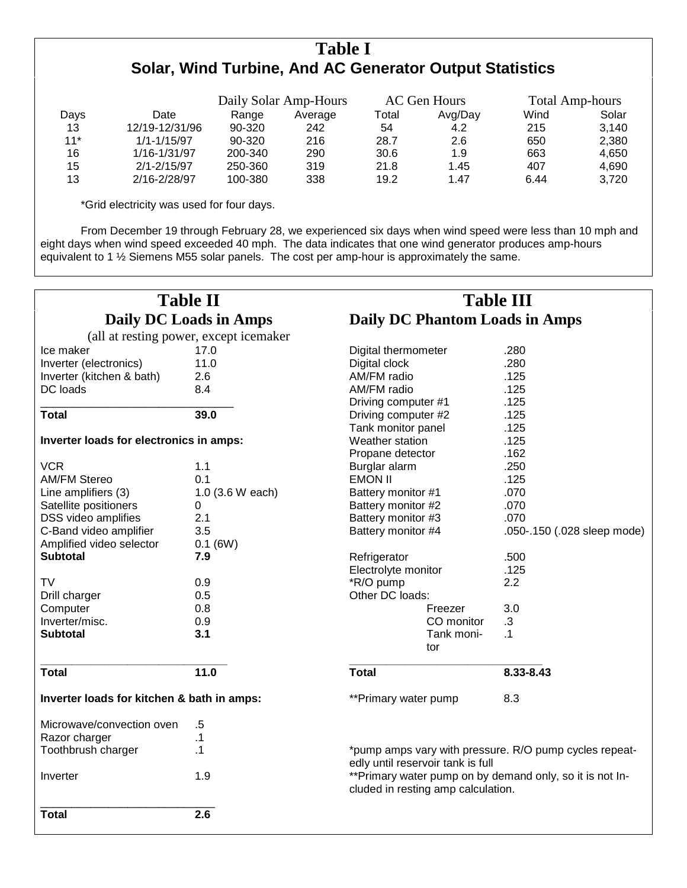## **Table I Solar, Wind Turbine, And AC Generator Output Statistics**

|       |                 | Daily Solar Amp-Hours |         | AC Gen Hours |         | <b>Total Amp-hours</b> |       |
|-------|-----------------|-----------------------|---------|--------------|---------|------------------------|-------|
| Days  | Date            | Range                 | Average | Total        | Avg/Day | Wind                   | Solar |
| 13    | 12/19-12/31/96  | 90-320                | 242     | 54           | 4.2     | 215                    | 3.140 |
| $11*$ | $1/1 - 1/15/97$ | 90-320                | 216     | 28.7         | 2.6     | 650                    | 2,380 |
| 16    | 1/16-1/31/97    | 200-340               | 290     | 30.6         | 1.9     | 663                    | 4.650 |
| 15    | $2/1 - 2/15/97$ | 250-360               | 319     | 21.8         | 1.45    | 407                    | 4.690 |
| 13    | 2/16-2/28/97    | 100-380               | 338     | 19.2         | 1.47    | 6.44                   | 3.720 |

\*Grid electricity was used for four days.

From December 19 through February 28, we experienced six days when wind speed were less than 10 mph and eight days when wind speed exceeded 40 mph. The data indicates that one wind generator produces amp-hours equivalent to 1 % Siemens M55 solar panels. The cost per amp-hour is approximately the same.

|                                            | <b>Table II</b>                        | <b>Table III</b>                      |                                                                                                |  |  |  |
|--------------------------------------------|----------------------------------------|---------------------------------------|------------------------------------------------------------------------------------------------|--|--|--|
|                                            | <b>Daily DC Loads in Amps</b>          | <b>Daily DC Phantom Loads in Amps</b> |                                                                                                |  |  |  |
|                                            | (all at resting power, except icemaker |                                       |                                                                                                |  |  |  |
| Ice maker                                  | 17.0                                   | Digital thermometer                   | .280                                                                                           |  |  |  |
| Inverter (electronics)                     | 11.0                                   | Digital clock                         | .280                                                                                           |  |  |  |
| Inverter (kitchen & bath)                  | 2.6                                    | AM/FM radio                           | .125                                                                                           |  |  |  |
| DC loads                                   | 8.4                                    | AM/FM radio                           | .125                                                                                           |  |  |  |
|                                            |                                        |                                       | .125                                                                                           |  |  |  |
| <b>Total</b>                               | 39.0                                   | Driving computer #1                   |                                                                                                |  |  |  |
|                                            |                                        | Driving computer #2                   | .125                                                                                           |  |  |  |
|                                            |                                        | Tank monitor panel                    | .125                                                                                           |  |  |  |
| Inverter loads for electronics in amps:    |                                        | Weather station                       | .125                                                                                           |  |  |  |
|                                            |                                        | Propane detector                      | .162                                                                                           |  |  |  |
| <b>VCR</b>                                 | 1.1                                    | Burglar alarm                         | .250                                                                                           |  |  |  |
| <b>AM/FM Stereo</b>                        | 0.1                                    | <b>EMON II</b>                        | .125                                                                                           |  |  |  |
| Line amplifiers (3)<br>1.0 (3.6 W each)    |                                        | Battery monitor #1                    | .070                                                                                           |  |  |  |
| Satellite positioners                      | 0                                      | Battery monitor #2                    | .070                                                                                           |  |  |  |
| DSS video amplifies                        | 2.1                                    | Battery monitor #3                    | .070                                                                                           |  |  |  |
| C-Band video amplifier<br>3.5              |                                        | Battery monitor #4                    | .050-.150 (.028 sleep mode)                                                                    |  |  |  |
| Amplified video selector<br>$0.1$ (6W)     |                                        |                                       |                                                                                                |  |  |  |
| <b>Subtotal</b>                            | 7.9                                    | Refrigerator                          | .500                                                                                           |  |  |  |
|                                            |                                        | Electrolyte monitor                   | .125                                                                                           |  |  |  |
| <b>TV</b>                                  | 0.9                                    | *R/O pump                             | 2.2                                                                                            |  |  |  |
| Drill charger                              | 0.5                                    | Other DC loads:                       |                                                                                                |  |  |  |
| Computer                                   | 0.8                                    | Freezer                               | 3.0                                                                                            |  |  |  |
| Inverter/misc.                             | 0.9                                    | CO monitor                            | $\cdot$ 3                                                                                      |  |  |  |
| <b>Subtotal</b>                            | 3.1                                    | Tank moni-                            | $\cdot$ 1                                                                                      |  |  |  |
|                                            |                                        | tor                                   |                                                                                                |  |  |  |
| <b>Total</b>                               | 11.0                                   | <b>Total</b>                          | 8.33-8.43                                                                                      |  |  |  |
| Inverter loads for kitchen & bath in amps: |                                        | **Primary water pump                  | 8.3                                                                                            |  |  |  |
| Microwave/convection oven                  | $.5\,$                                 |                                       |                                                                                                |  |  |  |
| Razor charger                              | $\cdot$ 1                              |                                       |                                                                                                |  |  |  |
| Toothbrush charger                         | $\cdot$ 1                              |                                       | *pump amps vary with pressure. R/O pump cycles repeat-                                         |  |  |  |
|                                            |                                        | edly until reservoir tank is full     |                                                                                                |  |  |  |
| Inverter                                   | 1.9                                    |                                       | **Primary water pump on by demand only, so it is not In-<br>cluded in resting amp calculation. |  |  |  |
| <b>Total</b>                               | 2.6                                    |                                       |                                                                                                |  |  |  |
|                                            |                                        |                                       |                                                                                                |  |  |  |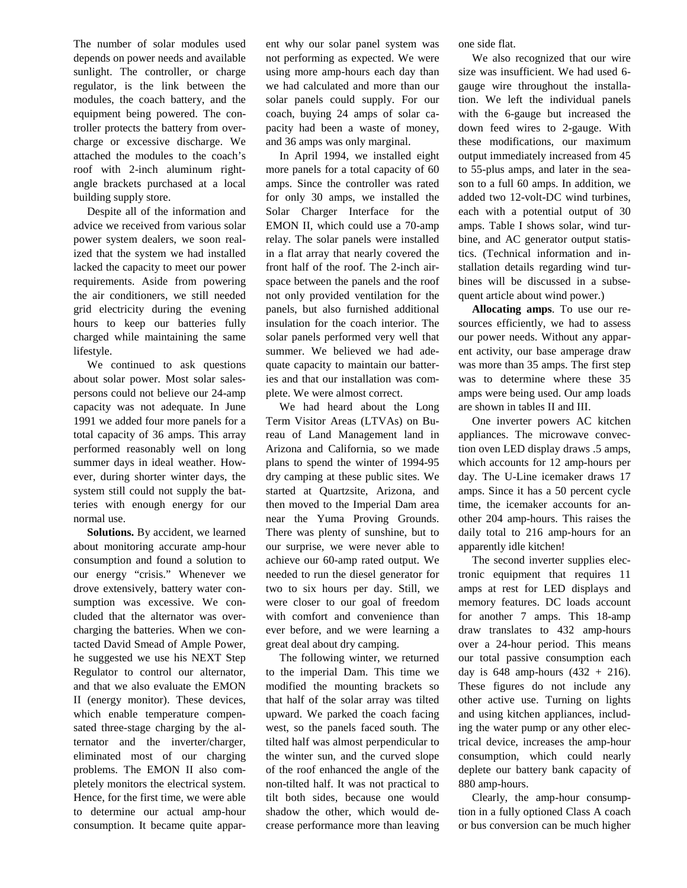The number of solar modules used depends on power needs and available sunlight. The controller, or charge regulator, is the link between the modules, the coach battery, and the equipment being powered. The controller protects the battery from overcharge or excessive discharge. We attached the modules to the coach's roof with 2-inch aluminum rightangle brackets purchased at a local building supply store.

Despite all of the information and advice we received from various solar power system dealers, we soon realized that the system we had installed lacked the capacity to meet our power requirements. Aside from powering the air conditioners, we still needed grid electricity during the evening hours to keep our batteries fully charged while maintaining the same lifestyle.

We continued to ask questions about solar power. Most solar salespersons could not believe our 24-amp capacity was not adequate. In June 1991 we added four more panels for a total capacity of 36 amps. This array performed reasonably well on long summer days in ideal weather. However, during shorter winter days, the system still could not supply the batteries with enough energy for our normal use.

**Solutions.** By accident, we learned about monitoring accurate amp-hour consumption and found a solution to our energy "crisis." Whenever we drove extensively, battery water consumption was excessive. We concluded that the alternator was overcharging the batteries. When we contacted David Smead of Ample Power, he suggested we use his NEXT Step Regulator to control our alternator, and that we also evaluate the EMON II (energy monitor). These devices, which enable temperature compensated three-stage charging by the alternator and the inverter/charger, eliminated most of our charging problems. The EMON II also completely monitors the electrical system. Hence, for the first time, we were able to determine our actual amp-hour consumption. It became quite apparent why our solar panel system was not performing as expected. We were using more amp-hours each day than we had calculated and more than our solar panels could supply. For our coach, buying 24 amps of solar capacity had been a waste of money, and 36 amps was only marginal.

In April 1994, we installed eight more panels for a total capacity of 60 amps. Since the controller was rated for only 30 amps, we installed the Solar Charger Interface for the EMON II, which could use a 70-amp relay. The solar panels were installed in a flat array that nearly covered the front half of the roof. The 2-inch airspace between the panels and the roof not only provided ventilation for the panels, but also furnished additional insulation for the coach interior. The solar panels performed very well that summer. We believed we had adequate capacity to maintain our batteries and that our installation was complete. We were almost correct.

We had heard about the Long Term Visitor Areas (LTVAs) on Bureau of Land Management land in Arizona and California, so we made plans to spend the winter of 1994-95 dry camping at these public sites. We started at Quartzsite, Arizona, and then moved to the Imperial Dam area near the Yuma Proving Grounds. There was plenty of sunshine, but to our surprise, we were never able to achieve our 60-amp rated output. We needed to run the diesel generator for two to six hours per day. Still, we were closer to our goal of freedom with comfort and convenience than ever before, and we were learning a great deal about dry camping.

The following winter, we returned to the imperial Dam. This time we modified the mounting brackets so that half of the solar array was tilted upward. We parked the coach facing west, so the panels faced south. The tilted half was almost perpendicular to the winter sun, and the curved slope of the roof enhanced the angle of the non-tilted half. It was not practical to tilt both sides, because one would shadow the other, which would decrease performance more than leaving one side flat.

We also recognized that our wire size was insufficient. We had used 6 gauge wire throughout the installation. We left the individual panels with the 6-gauge but increased the down feed wires to 2-gauge. With these modifications, our maximum output immediately increased from 45 to 55-plus amps, and later in the season to a full 60 amps. In addition, we added two 12-volt-DC wind turbines, each with a potential output of 30 amps. Table I shows solar, wind turbine, and AC generator output statistics. (Technical information and installation details regarding wind turbines will be discussed in a subsequent article about wind power.)

**Allocating amps**. To use our resources efficiently, we had to assess our power needs. Without any apparent activity, our base amperage draw was more than 35 amps. The first step was to determine where these 35 amps were being used. Our amp loads are shown in tables II and III.

One inverter powers AC kitchen appliances. The microwave convection oven LED display draws .5 amps, which accounts for 12 amp-hours per day. The U-Line icemaker draws 17 amps. Since it has a 50 percent cycle time, the icemaker accounts for another 204 amp-hours. This raises the daily total to 216 amp-hours for an apparently idle kitchen!

The second inverter supplies electronic equipment that requires 11 amps at rest for LED displays and memory features. DC loads account for another 7 amps. This 18-amp draw translates to 432 amp-hours over a 24-hour period. This means our total passive consumption each day is 648 amp-hours  $(432 + 216)$ . These figures do not include any other active use. Turning on lights and using kitchen appliances, including the water pump or any other electrical device, increases the amp-hour consumption, which could nearly deplete our battery bank capacity of 880 amp-hours.

Clearly, the amp-hour consumption in a fully optioned Class A coach or bus conversion can be much higher